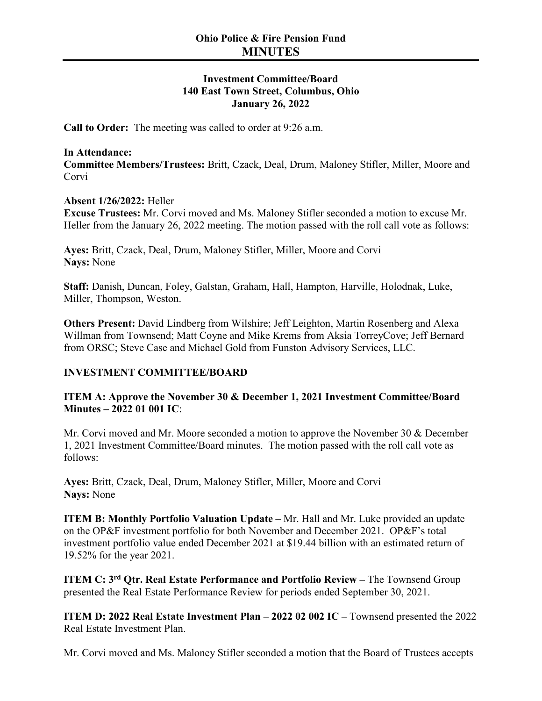# **Investment Committee/Board 140 East Town Street, Columbus, Ohio January 26, 2022**

**Call to Order:** The meeting was called to order at 9:26 a.m.

## **In Attendance:**

**Committee Members/Trustees:** Britt, Czack, Deal, Drum, Maloney Stifler, Miller, Moore and Corvi

# **Absent 1/26/2022:** Heller

**Excuse Trustees:** Mr. Corvi moved and Ms. Maloney Stifler seconded a motion to excuse Mr. Heller from the January 26, 2022 meeting. The motion passed with the roll call vote as follows:

**Ayes:** Britt, Czack, Deal, Drum, Maloney Stifler, Miller, Moore and Corvi **Nays:** None

**Staff:** Danish, Duncan, Foley, Galstan, Graham, Hall, Hampton, Harville, Holodnak, Luke, Miller, Thompson, Weston.

**Others Present:** David Lindberg from Wilshire; Jeff Leighton, Martin Rosenberg and Alexa Willman from Townsend; Matt Coyne and Mike Krems from Aksia TorreyCove; Jeff Bernard from ORSC; Steve Case and Michael Gold from Funston Advisory Services, LLC.

# **INVESTMENT COMMITTEE/BOARD**

**ITEM A: Approve the November 30 & December 1, 2021 Investment Committee/Board Minutes – 2022 01 001 IC**:

Mr. Corvi moved and Mr. Moore seconded a motion to approve the November 30 & December 1, 2021 Investment Committee/Board minutes. The motion passed with the roll call vote as follows:

**Ayes:** Britt, Czack, Deal, Drum, Maloney Stifler, Miller, Moore and Corvi **Nays:** None

**ITEM B: Monthly Portfolio Valuation Update** – Mr. Hall and Mr. Luke provided an update on the OP&F investment portfolio for both November and December 2021. OP&F's total investment portfolio value ended December 2021 at \$19.44 billion with an estimated return of 19.52% for the year 2021.

**ITEM C: 3rd Qtr. Real Estate Performance and Portfolio Review –** The Townsend Group presented the Real Estate Performance Review for periods ended September 30, 2021.

**ITEM D: 2022 Real Estate Investment Plan – 2022 02 002 IC –** Townsend presented the 2022 Real Estate Investment Plan.

Mr. Corvi moved and Ms. Maloney Stifler seconded a motion that the Board of Trustees accepts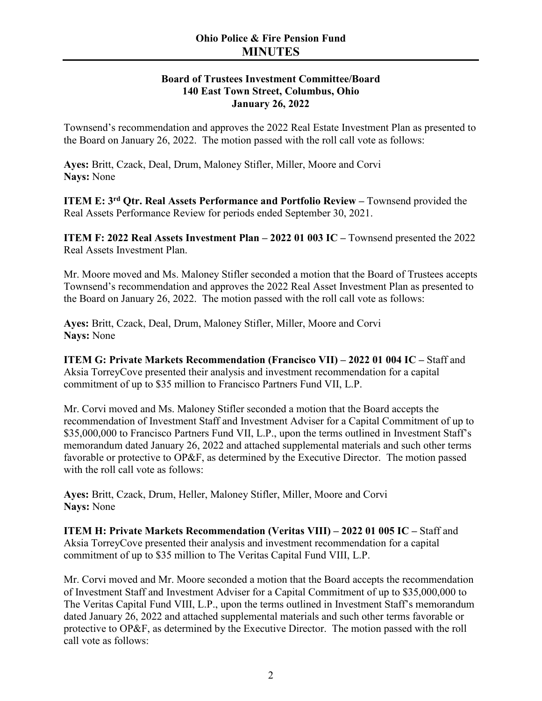# **Board of Trustees Investment Committee/Board 140 East Town Street, Columbus, Ohio January 26, 2022**

Townsend's recommendation and approves the 2022 Real Estate Investment Plan as presented to the Board on January 26, 2022. The motion passed with the roll call vote as follows:

**Ayes:** Britt, Czack, Deal, Drum, Maloney Stifler, Miller, Moore and Corvi **Nays:** None

**ITEM E: 3rd Qtr. Real Assets Performance and Portfolio Review –** Townsend provided the Real Assets Performance Review for periods ended September 30, 2021.

**ITEM F: 2022 Real Assets Investment Plan – 2022 01 003 IC –** Townsend presented the 2022 Real Assets Investment Plan.

Mr. Moore moved and Ms. Maloney Stifler seconded a motion that the Board of Trustees accepts Townsend's recommendation and approves the 2022 Real Asset Investment Plan as presented to the Board on January 26, 2022. The motion passed with the roll call vote as follows:

**Ayes:** Britt, Czack, Deal, Drum, Maloney Stifler, Miller, Moore and Corvi **Nays:** None

**ITEM G: Private Markets Recommendation (Francisco VII) – 2022 01 004 IC –** Staff and Aksia TorreyCove presented their analysis and investment recommendation for a capital commitment of up to \$35 million to Francisco Partners Fund VII, L.P.

Mr. Corvi moved and Ms. Maloney Stifler seconded a motion that the Board accepts the recommendation of Investment Staff and Investment Adviser for a Capital Commitment of up to \$35,000,000 to Francisco Partners Fund VII, L.P., upon the terms outlined in Investment Staff's memorandum dated January 26, 2022 and attached supplemental materials and such other terms favorable or protective to OP&F, as determined by the Executive Director. The motion passed with the roll call vote as follows:

**Ayes:** Britt, Czack, Drum, Heller, Maloney Stifler, Miller, Moore and Corvi **Nays:** None

**ITEM H: Private Markets Recommendation (Veritas VIII) – 2022 01 005 IC –** Staff and Aksia TorreyCove presented their analysis and investment recommendation for a capital commitment of up to \$35 million to The Veritas Capital Fund VIII, L.P.

Mr. Corvi moved and Mr. Moore seconded a motion that the Board accepts the recommendation of Investment Staff and Investment Adviser for a Capital Commitment of up to \$35,000,000 to The Veritas Capital Fund VIII, L.P., upon the terms outlined in Investment Staff's memorandum dated January 26, 2022 and attached supplemental materials and such other terms favorable or protective to OP&F, as determined by the Executive Director. The motion passed with the roll call vote as follows: